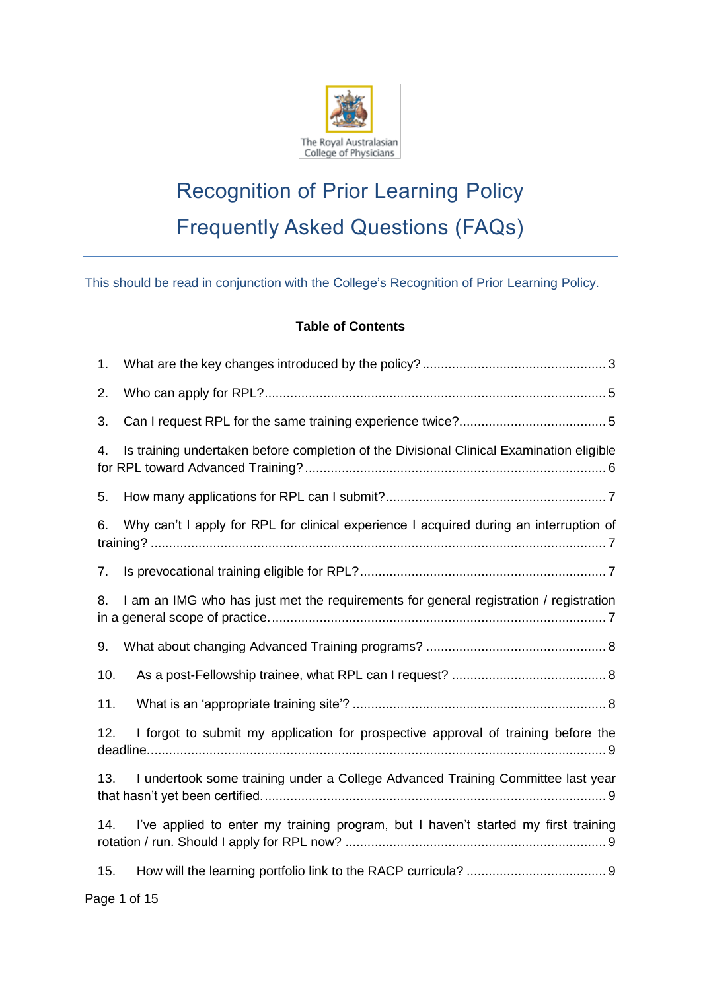

# Recognition of Prior Learning Policy Frequently Asked Questions (FAQs)

<span id="page-0-0"></span>This should be read in conjunction with the College's Recognition of Prior Learning Policy.

## **Table of Contents**

| 1.                                                                                             |
|------------------------------------------------------------------------------------------------|
| 2.                                                                                             |
| 3.                                                                                             |
| Is training undertaken before completion of the Divisional Clinical Examination eligible<br>4. |
| 5.                                                                                             |
| Why can't I apply for RPL for clinical experience I acquired during an interruption of<br>6.   |
| 7.                                                                                             |
| I am an IMG who has just met the requirements for general registration / registration<br>8.    |
| 9.                                                                                             |
| 10.                                                                                            |
| 11.                                                                                            |
| I forgot to submit my application for prospective approval of training before the<br>12.       |
| I undertook some training under a College Advanced Training Committee last year<br>13.         |
| I've applied to enter my training program, but I haven't started my first training<br>14.      |
| 15.                                                                                            |
| Page 1 of 15                                                                                   |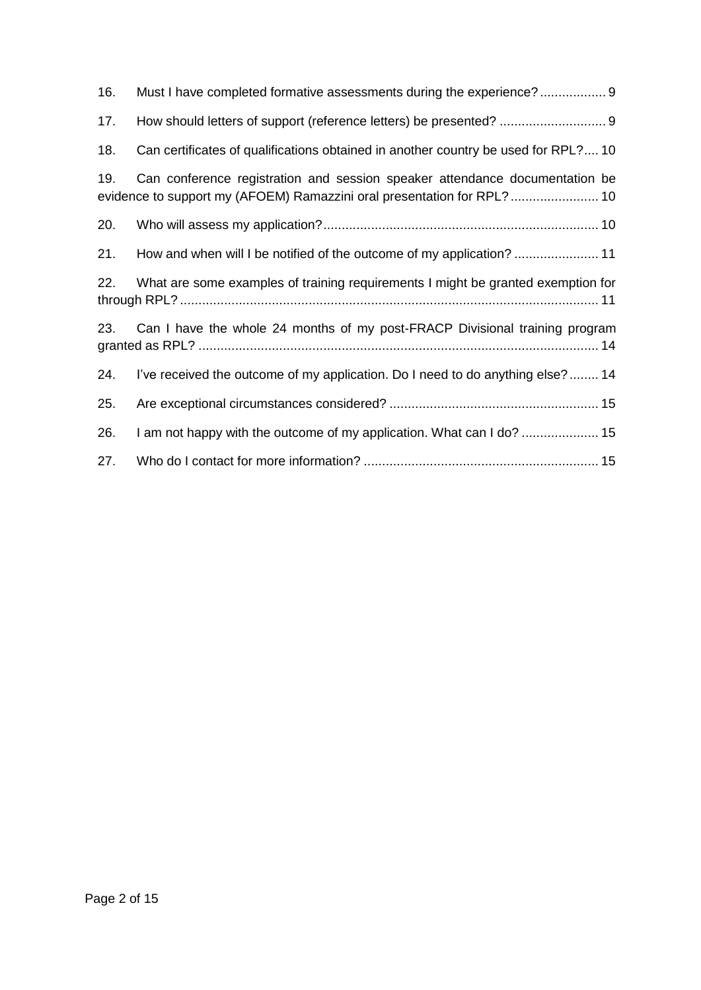| 16. | Must I have completed formative assessments during the experience? 9               |  |  |  |
|-----|------------------------------------------------------------------------------------|--|--|--|
| 17. |                                                                                    |  |  |  |
| 18. | Can certificates of qualifications obtained in another country be used for RPL? 10 |  |  |  |
| 19. | Can conference registration and session speaker attendance documentation be        |  |  |  |
| 20. |                                                                                    |  |  |  |
| 21. | How and when will I be notified of the outcome of my application?  11              |  |  |  |
| 22. | What are some examples of training requirements I might be granted exemption for   |  |  |  |
| 23. | Can I have the whole 24 months of my post-FRACP Divisional training program        |  |  |  |
| 24. | I've received the outcome of my application. Do I need to do anything else? 14     |  |  |  |
| 25. |                                                                                    |  |  |  |
| 26. | I am not happy with the outcome of my application. What can I do?  15              |  |  |  |
| 27. |                                                                                    |  |  |  |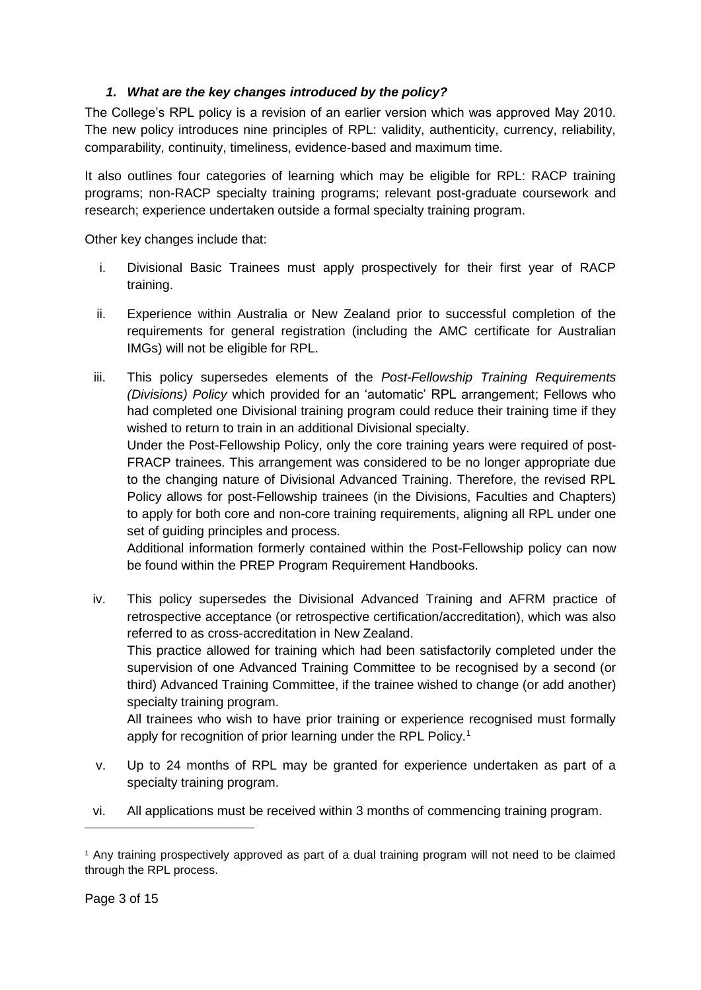## *1. What are the key changes introduced by the policy?*

<span id="page-2-0"></span>The College's RPL policy is a revision of an earlier version which was approved May 2010. The new policy introduces nine principles of RPL: validity, authenticity, currency, reliability, comparability, continuity, timeliness, evidence-based and maximum time.

It also outlines four categories of learning which may be eligible for RPL: RACP training programs; non-RACP specialty training programs; relevant post-graduate coursework and research; experience undertaken outside a formal specialty training program.

Other key changes include that:

- i. Divisional Basic Trainees must apply prospectively for their first year of RACP training.
- ii. Experience within Australia or New Zealand prior to successful completion of the requirements for general registration (including the AMC certificate for Australian IMGs) will not be eligible for RPL.
- iii. This policy supersedes elements of the *Post-Fellowship Training Requirements (Divisions) Policy* which provided for an 'automatic' RPL arrangement; Fellows who had completed one Divisional training program could reduce their training time if they wished to return to train in an additional Divisional specialty.

Under the Post-Fellowship Policy, only the core training years were required of post-FRACP trainees. This arrangement was considered to be no longer appropriate due to the changing nature of Divisional Advanced Training. Therefore, the revised RPL Policy allows for post-Fellowship trainees (in the Divisions, Faculties and Chapters) to apply for both core and non-core training requirements, aligning all RPL under one set of guiding principles and process.

Additional information formerly contained within the Post-Fellowship policy can now be found within the PREP Program Requirement Handbooks.

iv. This policy supersedes the Divisional Advanced Training and AFRM practice of retrospective acceptance (or retrospective certification/accreditation), which was also referred to as cross-accreditation in New Zealand. This practice allowed for training which had been satisfactorily completed under the supervision of one Advanced Training Committee to be recognised by a second (or third) Advanced Training Committee, if the trainee wished to change (or add another) specialty training program. All trainees who wish to have prior training or experience recognised must formally

apply for recognition of prior learning under the RPL Policy.<sup>1</sup>

- v. Up to 24 months of RPL may be granted for experience undertaken as part of a specialty training program.
- vi. All applications must be received within 3 months of commencing training program.

-

<sup>1</sup> Any training prospectively approved as part of a dual training program will not need to be claimed through the RPL process.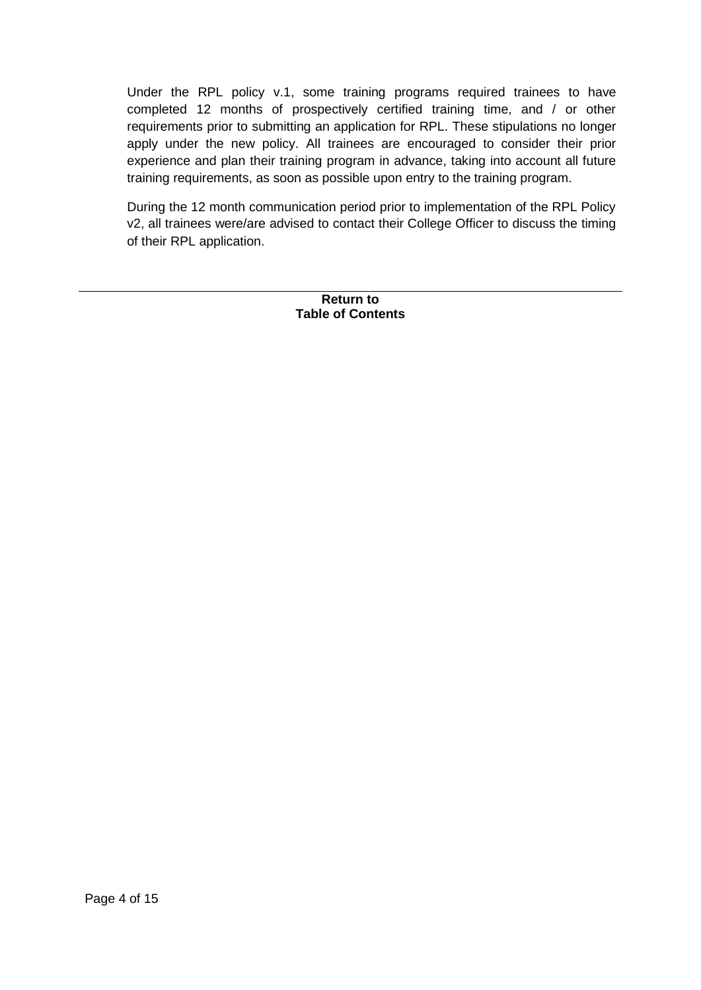Under the RPL policy v.1, some training programs required trainees to have completed 12 months of prospectively certified training time, and / or other requirements prior to submitting an application for RPL. These stipulations no longer apply under the new policy. All trainees are encouraged to consider their prior experience and plan their training program in advance, taking into account all future training requirements, as soon as possible upon entry to the training program.

During the 12 month communication period prior to implementation of the RPL Policy v2, all trainees were/are advised to contact their College Officer to discuss the timing of their RPL application.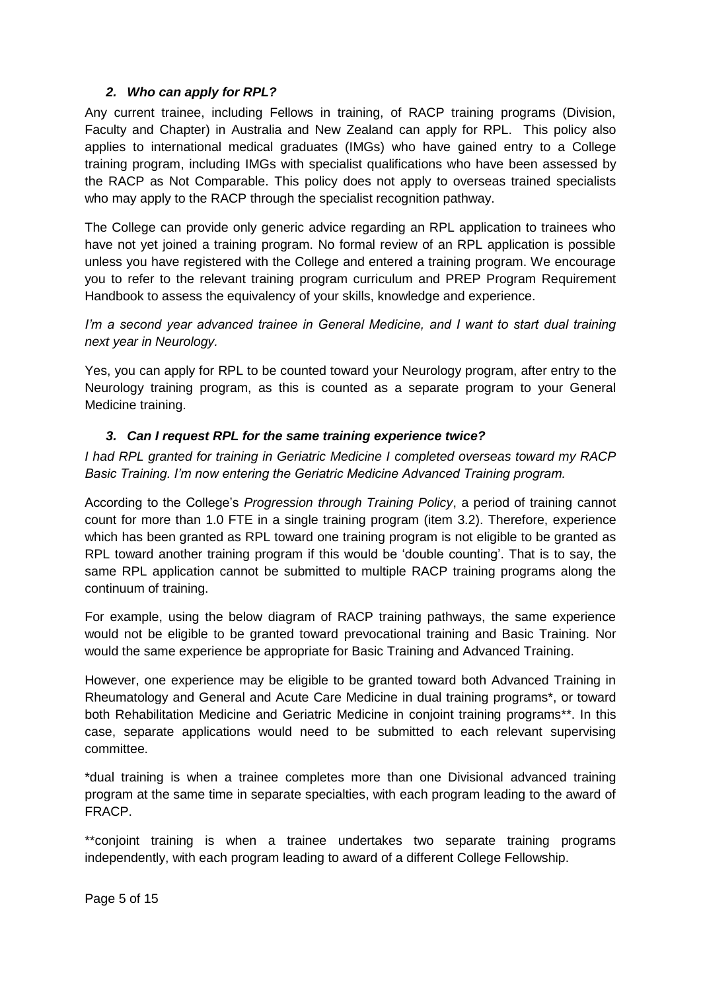## *2. Who can apply for RPL?*

<span id="page-4-0"></span>Any current trainee, including Fellows in training, of RACP training programs (Division, Faculty and Chapter) in Australia and New Zealand can apply for RPL. This policy also applies to international medical graduates (IMGs) who have gained entry to a College training program, including IMGs with specialist qualifications who have been assessed by the RACP as Not Comparable. This policy does not apply to overseas trained specialists who may apply to the RACP through the specialist recognition pathway.

The College can provide only generic advice regarding an RPL application to trainees who have not yet joined a training program. No formal review of an RPL application is possible unless you have registered with the College and entered a training program. We encourage you to refer to the relevant training program curriculum and PREP Program Requirement Handbook to assess the equivalency of your skills, knowledge and experience.

*I'm a second year advanced trainee in General Medicine, and I want to start dual training next year in Neurology.*

Yes, you can apply for RPL to be counted toward your Neurology program, after entry to the Neurology training program, as this is counted as a separate program to your General Medicine training.

## *3. Can I request RPL for the same training experience twice?*

<span id="page-4-1"></span>*I had RPL granted for training in Geriatric Medicine I completed overseas toward my RACP Basic Training. I'm now entering the Geriatric Medicine Advanced Training program.* 

According to the College's *Progression through Training Policy*, a period of training cannot count for more than 1.0 FTE in a single training program (item 3.2). Therefore, experience which has been granted as RPL toward one training program is not eligible to be granted as RPL toward another training program if this would be 'double counting'. That is to say, the same RPL application cannot be submitted to multiple RACP training programs along the continuum of training.

For example, using the below diagram of RACP training pathways, the same experience would not be eligible to be granted toward prevocational training and Basic Training. Nor would the same experience be appropriate for Basic Training and Advanced Training.

However, one experience may be eligible to be granted toward both Advanced Training in Rheumatology and General and Acute Care Medicine in dual training programs\*, or toward both Rehabilitation Medicine and Geriatric Medicine in conjoint training programs\*\*. In this case, separate applications would need to be submitted to each relevant supervising committee.

\*dual training is when a trainee completes more than one Divisional advanced training program at the same time in separate specialties, with each program leading to the award of FRACP.

\*\*conjoint training is when a trainee undertakes two separate training programs independently, with each program leading to award of a different College Fellowship.

Page 5 of 15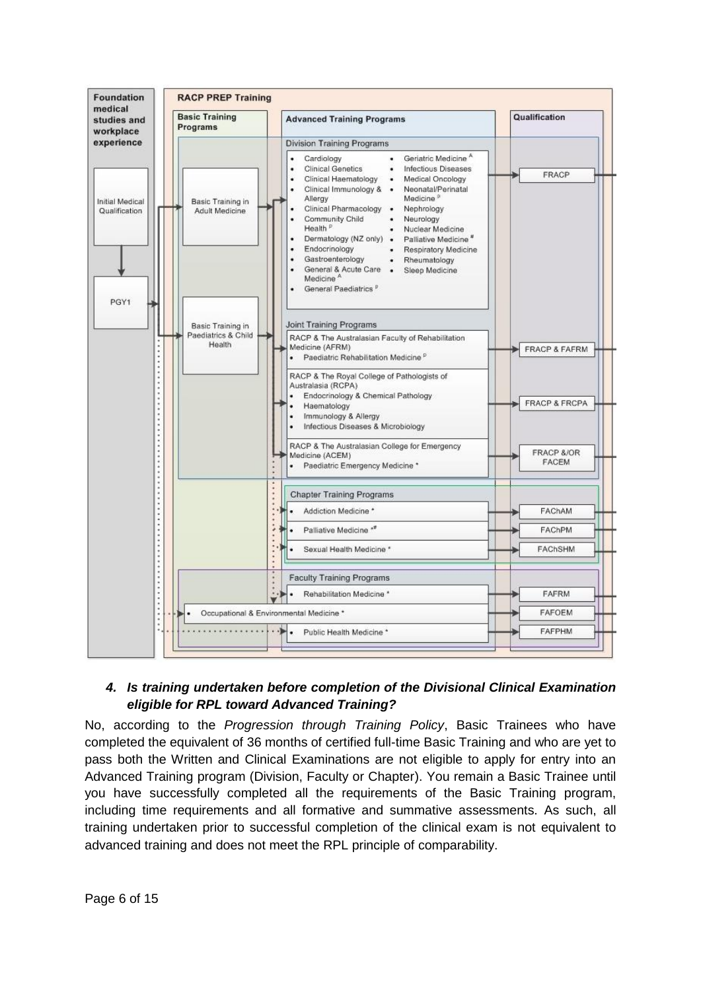

## <span id="page-5-0"></span>*4. Is training undertaken before completion of the Divisional Clinical Examination eligible for RPL toward Advanced Training?*

No, according to the *Progression through Training Policy*, Basic Trainees who have completed the equivalent of 36 months of certified full-time Basic Training and who are yet to pass both the Written and Clinical Examinations are not eligible to apply for entry into an Advanced Training program (Division, Faculty or Chapter). You remain a Basic Trainee until you have successfully completed all the requirements of the Basic Training program, including time requirements and all formative and summative assessments. As such, all training undertaken prior to successful completion of the clinical exam is not equivalent to advanced training and does not meet the RPL principle of comparability.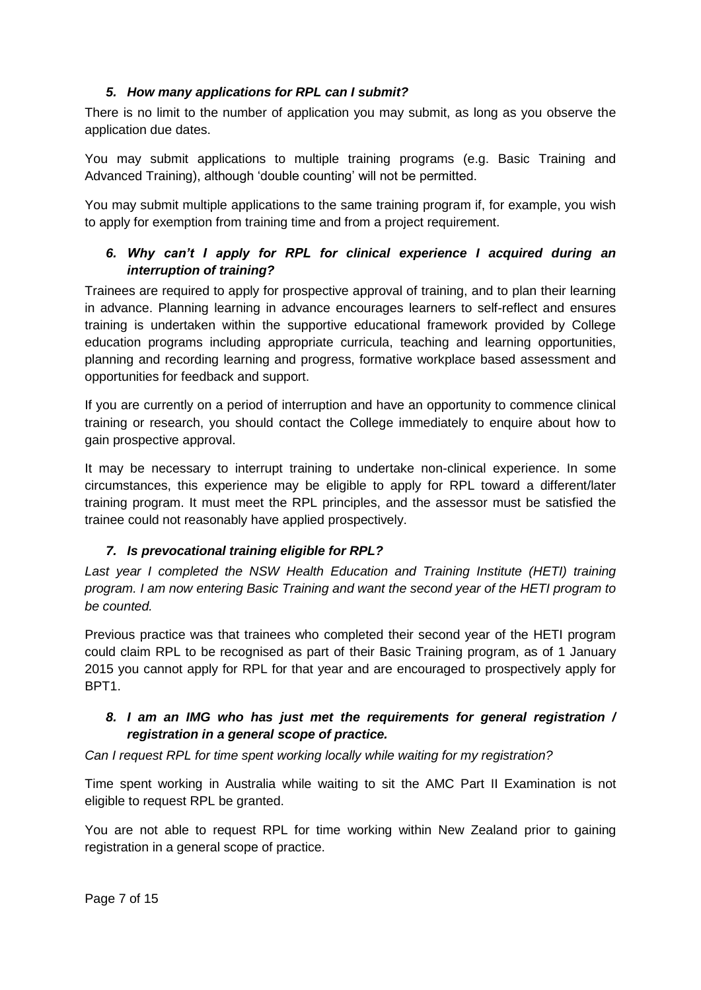## *5. How many applications for RPL can I submit?*

<span id="page-6-0"></span>There is no limit to the number of application you may submit, as long as you observe the application due dates.

You may submit applications to multiple training programs (e.g. Basic Training and Advanced Training), although 'double counting' will not be permitted.

You may submit multiple applications to the same training program if, for example, you wish to apply for exemption from training time and from a project requirement.

# <span id="page-6-1"></span>*6. Why can't I apply for RPL for clinical experience I acquired during an interruption of training?*

Trainees are required to apply for prospective approval of training, and to plan their learning in advance. Planning learning in advance encourages learners to self-reflect and ensures training is undertaken within the supportive educational framework provided by College education programs including appropriate curricula, teaching and learning opportunities, planning and recording learning and progress, formative workplace based assessment and opportunities for feedback and support.

If you are currently on a period of interruption and have an opportunity to commence clinical training or research, you should contact the College immediately to enquire about how to gain prospective approval.

It may be necessary to interrupt training to undertake non-clinical experience. In some circumstances, this experience may be eligible to apply for RPL toward a different/later training program. It must meet the RPL principles, and the assessor must be satisfied the trainee could not reasonably have applied prospectively.

## *7. Is prevocational training eligible for RPL?*

<span id="page-6-2"></span>Last year I completed the NSW Health Education and Training Institute (HETI) training *program. I am now entering Basic Training and want the second year of the HETI program to be counted.*

Previous practice was that trainees who completed their second year of the HETI program could claim RPL to be recognised as part of their Basic Training program, as of 1 January 2015 you cannot apply for RPL for that year and are encouraged to prospectively apply for BPT1.

## <span id="page-6-3"></span>*8. I am an IMG who has just met the requirements for general registration / registration in a general scope of practice.*

*Can I request RPL for time spent working locally while waiting for my registration?*

Time spent working in Australia while waiting to sit the AMC Part II Examination is not eligible to request RPL be granted.

You are not able to request RPL for time working within New Zealand prior to gaining registration in a general scope of practice.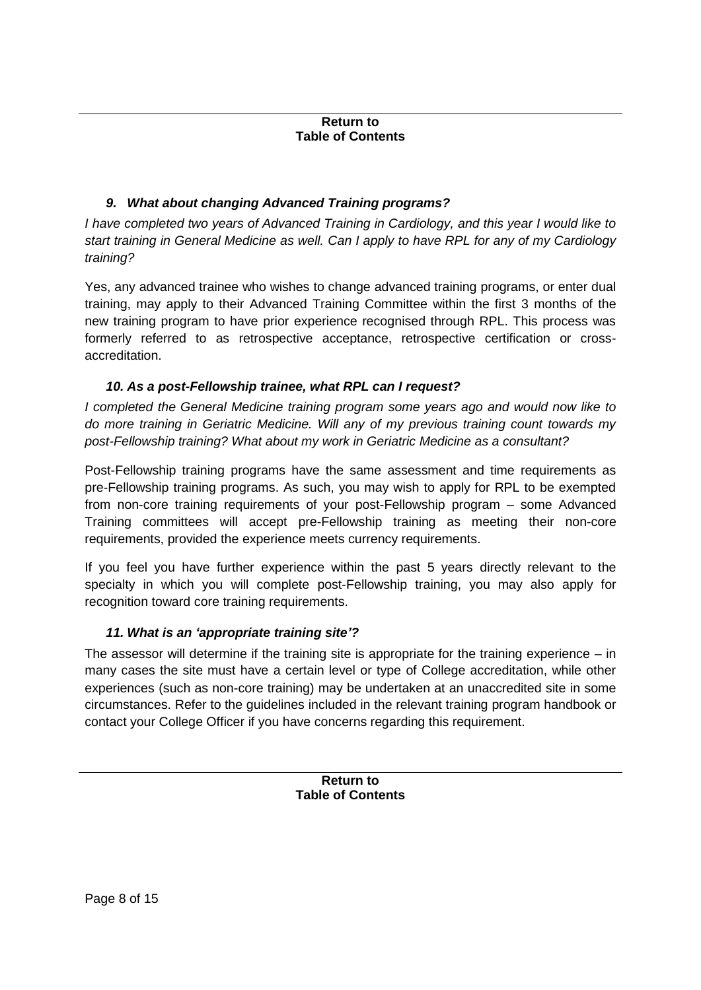#### **Return to [Table of Contents](#page-0-0)**

# <span id="page-7-0"></span>*9. What about changing Advanced Training programs?*

*I have completed two years of Advanced Training in Cardiology, and this year I would like to start training in General Medicine as well. Can I apply to have RPL for any of my Cardiology training?*

Yes, any advanced trainee who wishes to change advanced training programs, or enter dual training, may apply to their Advanced Training Committee within the first 3 months of the new training program to have prior experience recognised through RPL. This process was formerly referred to as retrospective acceptance, retrospective certification or crossaccreditation.

# *10. As a post-Fellowship trainee, what RPL can I request?*

<span id="page-7-1"></span>*I completed the General Medicine training program some years ago and would now like to do more training in Geriatric Medicine. Will any of my previous training count towards my post-Fellowship training? What about my work in Geriatric Medicine as a consultant?*

Post-Fellowship training programs have the same assessment and time requirements as pre-Fellowship training programs. As such, you may wish to apply for RPL to be exempted from non-core training requirements of your post-Fellowship program – some Advanced Training committees will accept pre-Fellowship training as meeting their non-core requirements, provided the experience meets currency requirements.

If you feel you have further experience within the past 5 years directly relevant to the specialty in which you will complete post-Fellowship training, you may also apply for recognition toward core training requirements.

## *11. What is an 'appropriate training site'?*

<span id="page-7-2"></span>The assessor will determine if the training site is appropriate for the training experience – in many cases the site must have a certain level or type of College accreditation, while other experiences (such as non-core training) may be undertaken at an unaccredited site in some circumstances. Refer to the guidelines included in the relevant training program handbook or contact your College Officer if you have concerns regarding this requirement.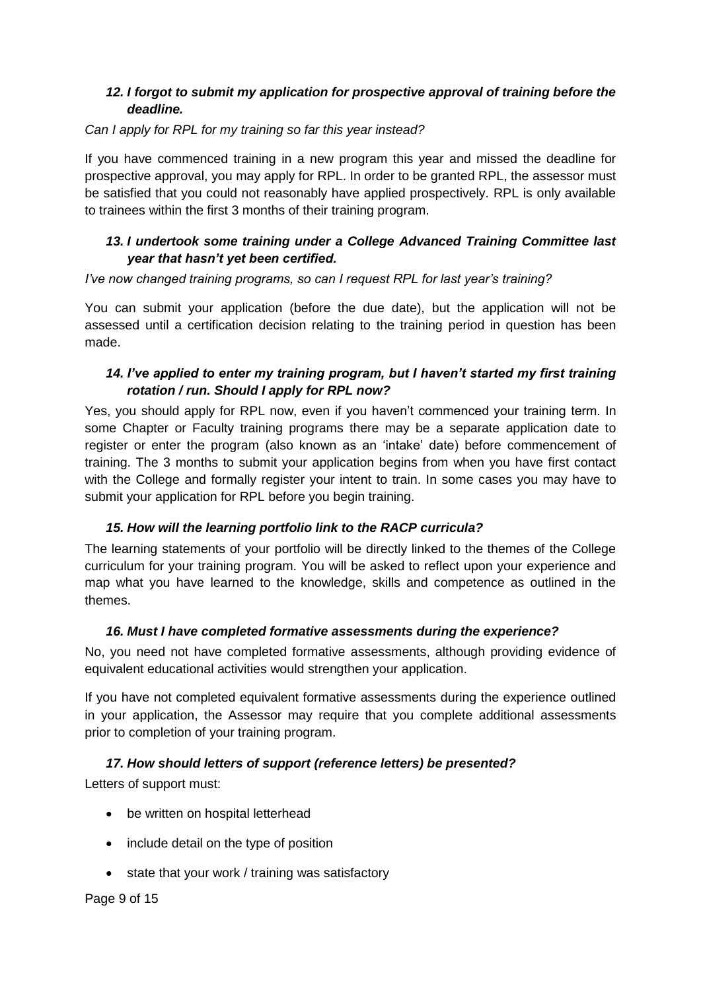## <span id="page-8-0"></span>*12. I forgot to submit my application for prospective approval of training before the deadline.*

## *Can I apply for RPL for my training so far this year instead?*

If you have commenced training in a new program this year and missed the deadline for prospective approval, you may apply for RPL. In order to be granted RPL, the assessor must be satisfied that you could not reasonably have applied prospectively. RPL is only available to trainees within the first 3 months of their training program.

## <span id="page-8-1"></span>*13. I undertook some training under a College Advanced Training Committee last year that hasn't yet been certified.*

*I've now changed training programs, so can I request RPL for last year's training?*

You can submit your application (before the due date), but the application will not be assessed until a certification decision relating to the training period in question has been made.

## <span id="page-8-2"></span>*14. I've applied to enter my training program, but I haven't started my first training rotation / run. Should I apply for RPL now?*

Yes, you should apply for RPL now, even if you haven't commenced your training term. In some Chapter or Faculty training programs there may be a separate application date to register or enter the program (also known as an 'intake' date) before commencement of training. The 3 months to submit your application begins from when you have first contact with the College and formally register your intent to train. In some cases you may have to submit your application for RPL before you begin training.

## *15. How will the learning portfolio link to the RACP curricula?*

<span id="page-8-3"></span>The learning statements of your portfolio will be directly linked to the themes of the College curriculum for your training program. You will be asked to reflect upon your experience and map what you have learned to the knowledge, skills and competence as outlined in the themes.

## *16. Must I have completed formative assessments during the experience?*

<span id="page-8-4"></span>No, you need not have completed formative assessments, although providing evidence of equivalent educational activities would strengthen your application.

If you have not completed equivalent formative assessments during the experience outlined in your application, the Assessor may require that you complete additional assessments prior to completion of your training program.

## <span id="page-8-5"></span>*17. How should letters of support (reference letters) be presented?*

Letters of support must:

- be written on hospital letterhead
- include detail on the type of position
- state that your work / training was satisfactory

#### Page 9 of 15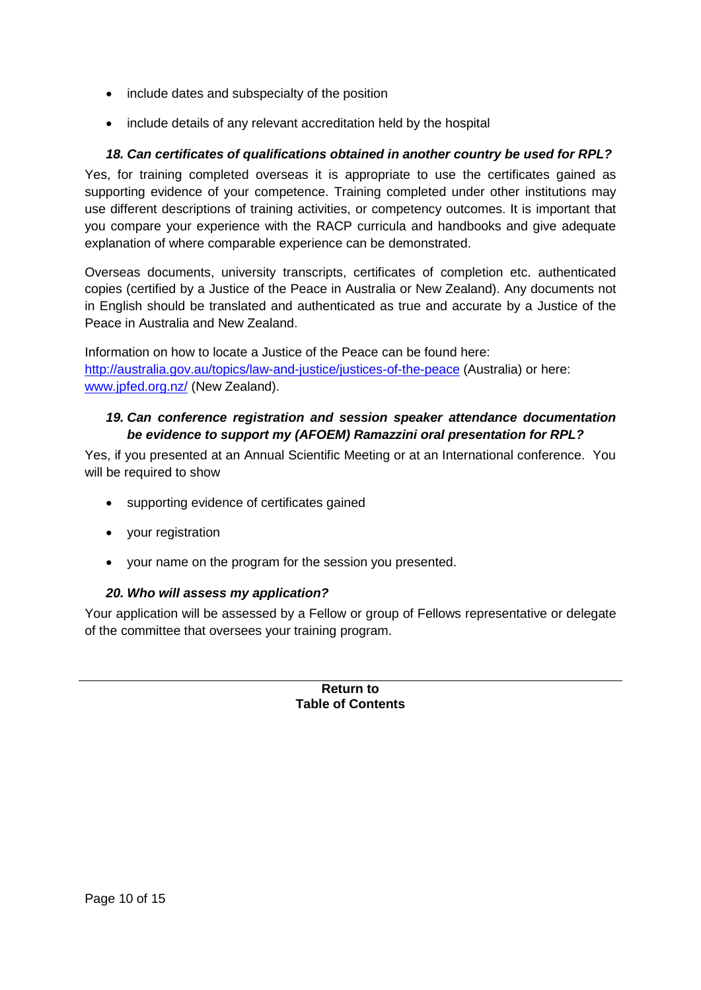- include dates and subspecialty of the position
- include details of any relevant accreditation held by the hospital

# *18. Can certificates of qualifications obtained in another country be used for RPL?*

<span id="page-9-0"></span>Yes, for training completed overseas it is appropriate to use the certificates gained as supporting evidence of your competence. Training completed under other institutions may use different descriptions of training activities, or competency outcomes. It is important that you compare your experience with the RACP curricula and handbooks and give adequate explanation of where comparable experience can be demonstrated.

Overseas documents, university transcripts, certificates of completion etc. authenticated copies (certified by a Justice of the Peace in Australia or New Zealand). Any documents not in English should be translated and authenticated as true and accurate by a Justice of the Peace in Australia and New Zealand.

Information on how to locate a Justice of the Peace can be found here: <http://australia.gov.au/topics/law-and-justice/justices-of-the-peace> (Australia) or here: [www.jpfed.org.nz/](http://www.jpfed.org.nz/) (New Zealand).

## <span id="page-9-1"></span>*19. Can conference registration and session speaker attendance documentation be evidence to support my (AFOEM) Ramazzini oral presentation for RPL?*

Yes, if you presented at an Annual Scientific Meeting or at an International conference. You will be required to show

- supporting evidence of certificates gained
- your registration
- your name on the program for the session you presented.

## *20. Who will assess my application?*

<span id="page-9-2"></span>Your application will be assessed by a Fellow or group of Fellows representative or delegate of the committee that oversees your training program.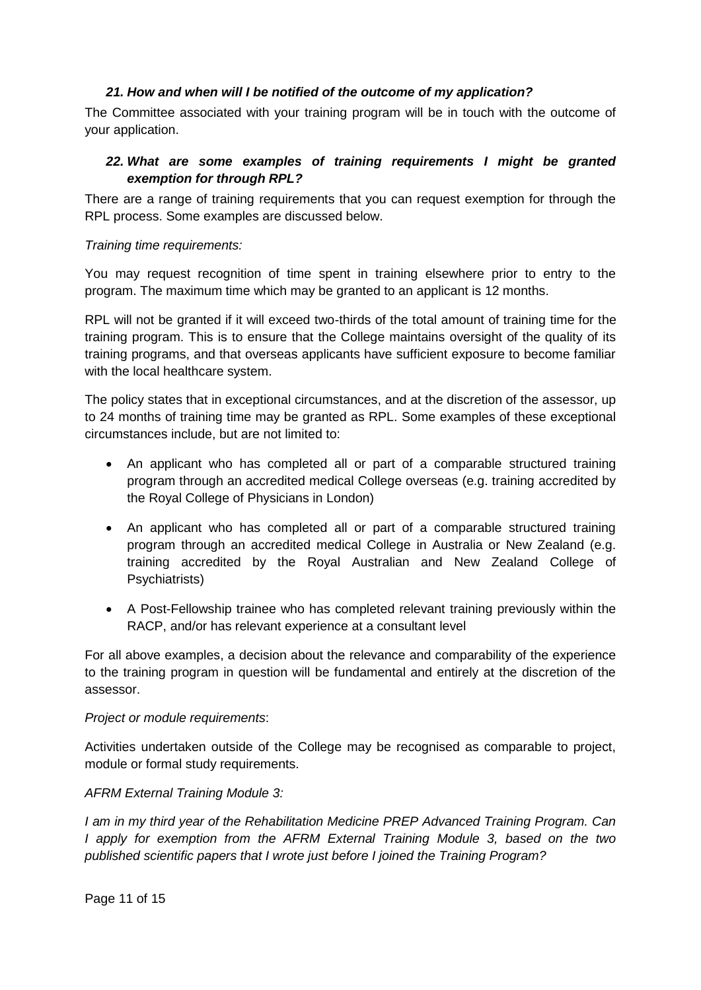## *21. How and when will I be notified of the outcome of my application?*

<span id="page-10-0"></span>The Committee associated with your training program will be in touch with the outcome of your application.

## <span id="page-10-1"></span>*22. What are some examples of training requirements I might be granted exemption for through RPL?*

There are a range of training requirements that you can request exemption for through the RPL process. Some examples are discussed below.

#### *Training time requirements:*

You may request recognition of time spent in training elsewhere prior to entry to the program. The maximum time which may be granted to an applicant is 12 months.

RPL will not be granted if it will exceed two-thirds of the total amount of training time for the training program. This is to ensure that the College maintains oversight of the quality of its training programs, and that overseas applicants have sufficient exposure to become familiar with the local healthcare system.

The policy states that in exceptional circumstances, and at the discretion of the assessor, up to 24 months of training time may be granted as RPL. Some examples of these exceptional circumstances include, but are not limited to:

- An applicant who has completed all or part of a comparable structured training program through an accredited medical College overseas (e.g. training accredited by the Royal College of Physicians in London)
- An applicant who has completed all or part of a comparable structured training program through an accredited medical College in Australia or New Zealand (e.g. training accredited by the Royal Australian and New Zealand College of Psychiatrists)
- A Post-Fellowship trainee who has completed relevant training previously within the RACP, and/or has relevant experience at a consultant level

For all above examples, a decision about the relevance and comparability of the experience to the training program in question will be fundamental and entirely at the discretion of the assessor.

#### *Project or module requirements*:

Activities undertaken outside of the College may be recognised as comparable to project, module or formal study requirements.

#### *AFRM External Training Module 3:*

*I am in my third year of the Rehabilitation Medicine PREP Advanced Training Program. Can I apply for exemption from the AFRM External Training Module 3, based on the two published scientific papers that I wrote just before I joined the Training Program?*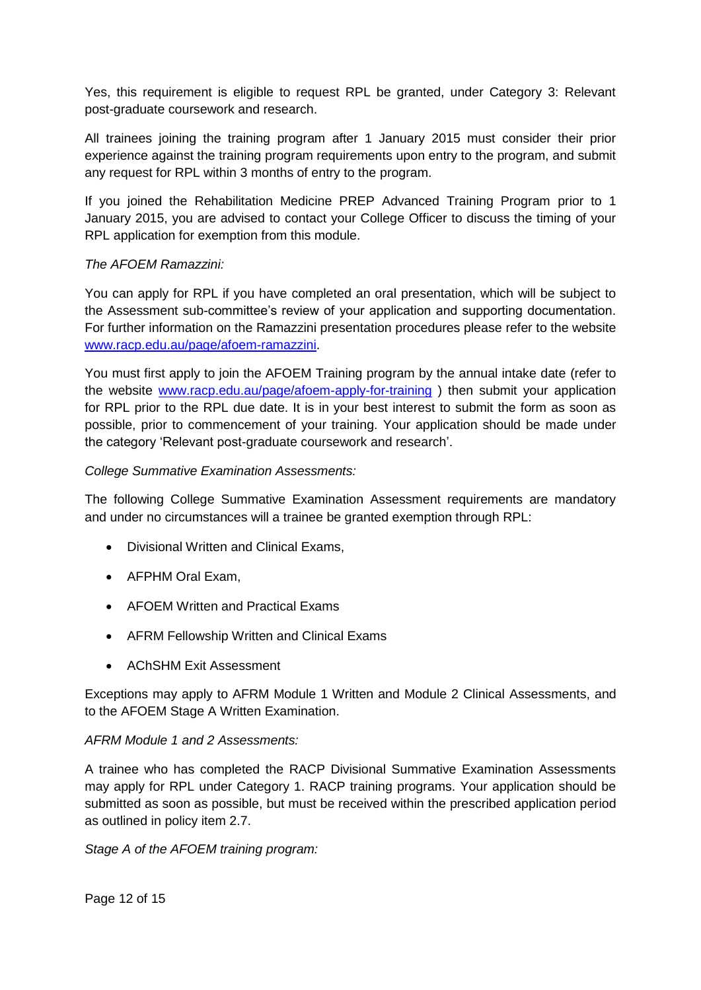Yes, this requirement is eligible to request RPL be granted, under Category 3: Relevant post-graduate coursework and research.

All trainees joining the training program after 1 January 2015 must consider their prior experience against the training program requirements upon entry to the program, and submit any request for RPL within 3 months of entry to the program.

If you joined the Rehabilitation Medicine PREP Advanced Training Program prior to 1 January 2015, you are advised to contact your College Officer to discuss the timing of your RPL application for exemption from this module.

## *The AFOEM Ramazzini:*

You can apply for RPL if you have completed an oral presentation, which will be subject to the Assessment sub-committee's review of your application and supporting documentation. For further information on the Ramazzini presentation procedures please refer to the website [www.racp.edu.au/page/afoem-ramazzini.](http://www.racp.edu.au/page/afoem-ramazzini)

You must first apply to join the AFOEM Training program by the annual intake date (refer to the website [www.racp.edu.au/page/afoem-apply-for-training](http://www.racp.edu.au/page/afoem-apply-for-training) ) then submit your application for RPL prior to the RPL due date. It is in your best interest to submit the form as soon as possible, prior to commencement of your training. Your application should be made under the category 'Relevant post-graduate coursework and research'.

#### *College Summative Examination Assessments:*

The following College Summative Examination Assessment requirements are mandatory and under no circumstances will a trainee be granted exemption through RPL:

- Divisional Written and Clinical Exams,
- AFPHM Oral Exam,
- AFOEM Written and Practical Exams
- AFRM Fellowship Written and Clinical Exams
- AChSHM Exit Assessment

Exceptions may apply to AFRM Module 1 Written and Module 2 Clinical Assessments, and to the AFOEM Stage A Written Examination.

#### *AFRM Module 1 and 2 Assessments:*

A trainee who has completed the RACP Divisional Summative Examination Assessments may apply for RPL under Category 1. RACP training programs. Your application should be submitted as soon as possible, but must be received within the prescribed application period as outlined in policy item 2.7.

*Stage A of the AFOEM training program:*

Page 12 of 15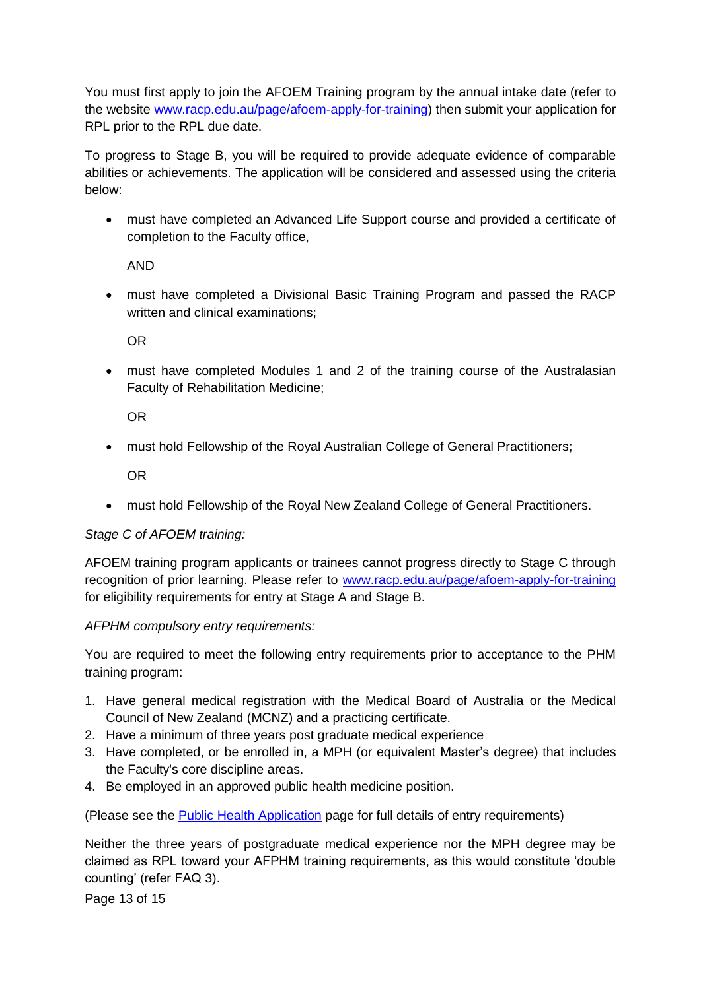You must first apply to join the AFOEM Training program by the annual intake date (refer to the website [www.racp.edu.au/page/afoem-apply-for-training\)](http://www.racp.edu.au/page/afoem-apply-for-training) then submit your application for RPL prior to the RPL due date.

To progress to Stage B, you will be required to provide adequate evidence of comparable abilities or achievements. The application will be considered and assessed using the criteria below:

• must have completed an Advanced Life Support course and provided a certificate of completion to the Faculty office,

AND

• must have completed a Divisional Basic Training Program and passed the RACP written and clinical examinations;

OR

• must have completed Modules 1 and 2 of the training course of the Australasian Faculty of Rehabilitation Medicine;

OR

• must hold Fellowship of the Royal Australian College of General Practitioners;

OR

• must hold Fellowship of the Royal New Zealand College of General Practitioners.

#### *Stage C of AFOEM training:*

AFOEM training program applicants or trainees cannot progress directly to Stage C through recognition of prior learning. Please refer to [www.racp.edu.au/page/afoem-apply-for-training](http://www.racp.edu.au/page/afoem-apply-for-training) for eligibility requirements for entry at Stage A and Stage B.

*AFPHM compulsory entry requirements:*

You are required to meet the following entry requirements prior to acceptance to the PHM training program:

- 1. Have general medical registration with the Medical Board of Australia or the Medical Council of New Zealand (MCNZ) and a practicing certificate.
- 2. Have a minimum of three years post graduate medical experience
- 3. Have completed, or be enrolled in, a MPH (or equivalent Master's degree) that includes the Faculty's core discipline areas.
- 4. Be employed in an approved public health medicine position.

(Please see the [Public Health Application](http://www.racp.edu.au/index.cfm?objectid=AD8CD7A7-E459-C02D-FDFA3AD498099942) page for full details of entry requirements)

Neither the three years of postgraduate medical experience nor the MPH degree may be claimed as RPL toward your AFPHM training requirements, as this would constitute 'double counting' (refer FAQ [3\)](#page-4-1).

Page 13 of 15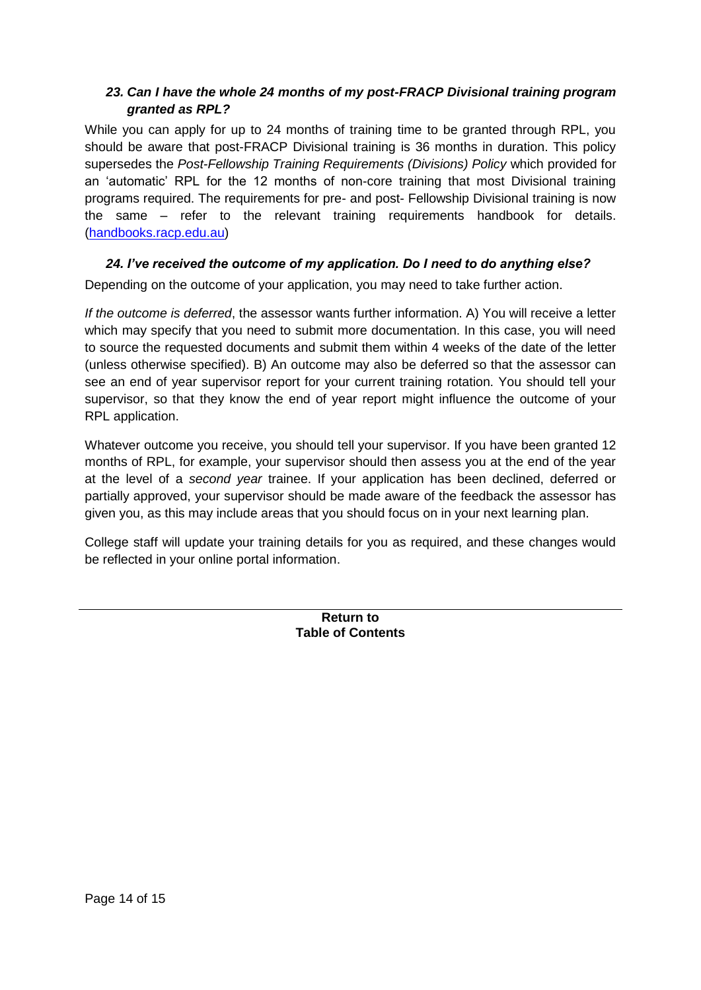## <span id="page-13-0"></span>*23. Can I have the whole 24 months of my post-FRACP Divisional training program granted as RPL?*

While you can apply for up to 24 months of training time to be granted through RPL, you should be aware that post-FRACP Divisional training is 36 months in duration. This policy supersedes the *Post-Fellowship Training Requirements (Divisions) Policy* which provided for an 'automatic' RPL for the 12 months of non-core training that most Divisional training programs required. The requirements for pre- and post- Fellowship Divisional training is now the same – refer to the relevant training requirements handbook for details. [\(handbooks.racp.edu.au\)](http://handbooks.racp.edu.au/#all)

# *24. I've received the outcome of my application. Do I need to do anything else?*

<span id="page-13-1"></span>Depending on the outcome of your application, you may need to take further action.

*If the outcome is deferred*, the assessor wants further information. A) You will receive a letter which may specify that you need to submit more documentation. In this case, you will need to source the requested documents and submit them within 4 weeks of the date of the letter (unless otherwise specified). B) An outcome may also be deferred so that the assessor can see an end of year supervisor report for your current training rotation. You should tell your supervisor, so that they know the end of year report might influence the outcome of your RPL application.

Whatever outcome you receive, you should tell your supervisor. If you have been granted 12 months of RPL, for example, your supervisor should then assess you at the end of the year at the level of a *second year* trainee. If your application has been declined, deferred or partially approved, your supervisor should be made aware of the feedback the assessor has given you, as this may include areas that you should focus on in your next learning plan.

College staff will update your training details for you as required, and these changes would be reflected in your online portal information.